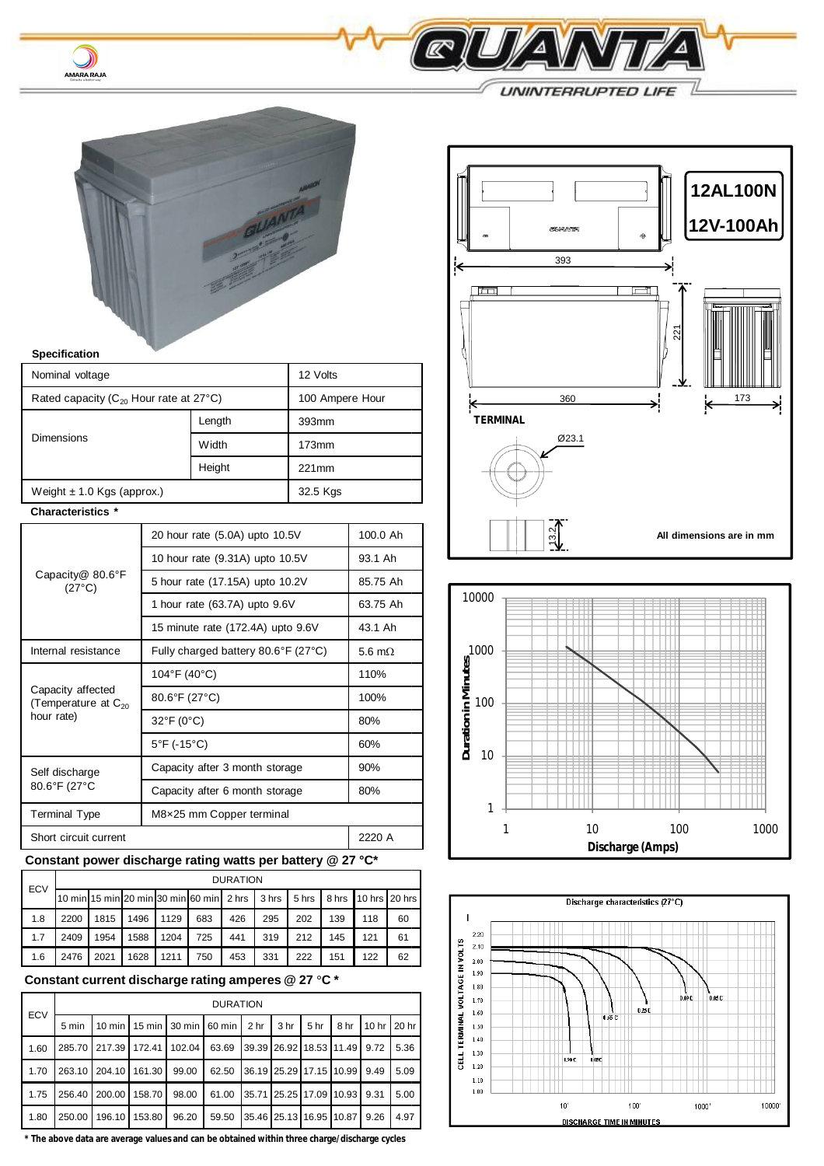

 $\bm{\mathcal{Y}}$ AMARA RAJA

| <b>Specification</b>                                               |                                     |                                 |          |         |  |
|--------------------------------------------------------------------|-------------------------------------|---------------------------------|----------|---------|--|
| Nominal voltage                                                    | 12 Volts                            |                                 |          |         |  |
| Rated capacity ( $C_{20}$ Hour rate at 27°C)                       | 100 Ampere Hour                     |                                 |          |         |  |
|                                                                    |                                     | Length                          |          |         |  |
| <b>Dimensions</b>                                                  |                                     | Width                           | 173mm    |         |  |
|                                                                    |                                     | Height                          | 221mm    |         |  |
| Weight $\pm$ 1.0 Kgs (approx.)                                     |                                     |                                 | 32.5 Kgs |         |  |
| Characteristics *                                                  |                                     |                                 |          |         |  |
| Capacity@ 80.6°F<br>$(27^{\circ}C)$                                | 20 hour rate (5.0A) upto 10.5V      | 100.0 Ah                        |          |         |  |
|                                                                    |                                     | 10 hour rate (9.31A) upto 10.5V |          | 93.1 Ah |  |
|                                                                    | 5 hour rate (17.15A) upto 10.2V     | 85.75 Ah                        |          |         |  |
|                                                                    | 1 hour rate (63.7A) upto 9.6V       | 63.75 Ah                        |          |         |  |
|                                                                    | 15 minute rate (172.4A) upto 9.6V   | 43.1 Ah                         |          |         |  |
| Internal resistance                                                | Fully charged battery 80.6°F (27°C) | 5.6 m $\Omega$                  |          |         |  |
| Capacity affected<br>(Temperature at C <sub>20</sub><br>hour rate) | 104°F (40°C)                        | 110%                            |          |         |  |
|                                                                    | 80.6°F (27°C)                       | 100%                            |          |         |  |
|                                                                    | 32°F (0°C)                          | 80%                             |          |         |  |
|                                                                    | 5°F (-15°C)                         |                                 |          | 60%     |  |
| Self discharge<br>80.6°F (27°C                                     | Capacity after 3 month storage      | 90%                             |          |         |  |
|                                                                    | Capacity after 6 month storage      | 80%                             |          |         |  |
| <b>Terminal Type</b>                                               | M8×25 mm Copper terminal            |                                 |          |         |  |
| Short circuit current                                              | 2220 A                              |                                 |          |         |  |

## **Constant power discharge rating watts per battery @ 27 °C\***

| <b>ECV</b> |      | <b>DURATION</b> |      |      |                                                                          |     |     |     |     |     |    |
|------------|------|-----------------|------|------|--------------------------------------------------------------------------|-----|-----|-----|-----|-----|----|
|            |      |                 |      |      | 10 min 15 min 20 min 30 min 60 min 2 hrs 3 hrs 5 hrs 8 hrs 10 hrs 20 hrs |     |     |     |     |     |    |
| 1.8        | 2200 | 1815            | 1496 | 1129 | 683                                                                      | 426 | 295 | 202 | 139 | 118 | 60 |
| 1.7        | 2409 | 1954            | 1588 | 1204 | 725                                                                      | 441 | 319 | 212 | 145 | 121 | 61 |
| 1.6        | 2476 | 2021            | 1628 | 1211 | 750                                                                      | 453 | 331 | 222 | 151 | 122 | 62 |

## **Constant current discharge rating amperes @ 27 °C \***

| ECV  |        | <b>DURATION</b>                          |               |       |                                    |                         |     |        |      |             |      |
|------|--------|------------------------------------------|---------------|-------|------------------------------------|-------------------------|-----|--------|------|-------------|------|
|      | 5 min  | 10 min   15 min   30 min   60 min   2 hr |               |       |                                    |                         | 3hr | 5 hr 1 | 8 hr | 10 hr 20 hr |      |
| 1.60 |        | 285.70 217.39 172.41 102.04              |               |       | 63.69 39.39 26.92 18.53 11.49 9.72 |                         |     |        |      |             | 5.36 |
| 1.70 |        | 263.10 204.10 161.30                     |               | 99.00 | 62.50                              | 36.19 25.29 17.15 10.99 |     |        |      | 9.49        | 5.09 |
| 1.75 | 256.40 |                                          | 200.00 158.70 | 98.00 | 61.00 35.71 25.25 17.09 10.93 9.31 |                         |     |        |      |             | 5.00 |
| 1.80 | 250.00 | 196.10                                   | 153.80        | 96.20 | 59.50                              | 35.46 25.13 16.95 10.87 |     |        |      | 9.26        | 4.97 |

**\* The above data are average values and can be obtained within three charge/discharge cycles**



Q

 $\Delta$ 

**UNINTERRUPTED LIFE**